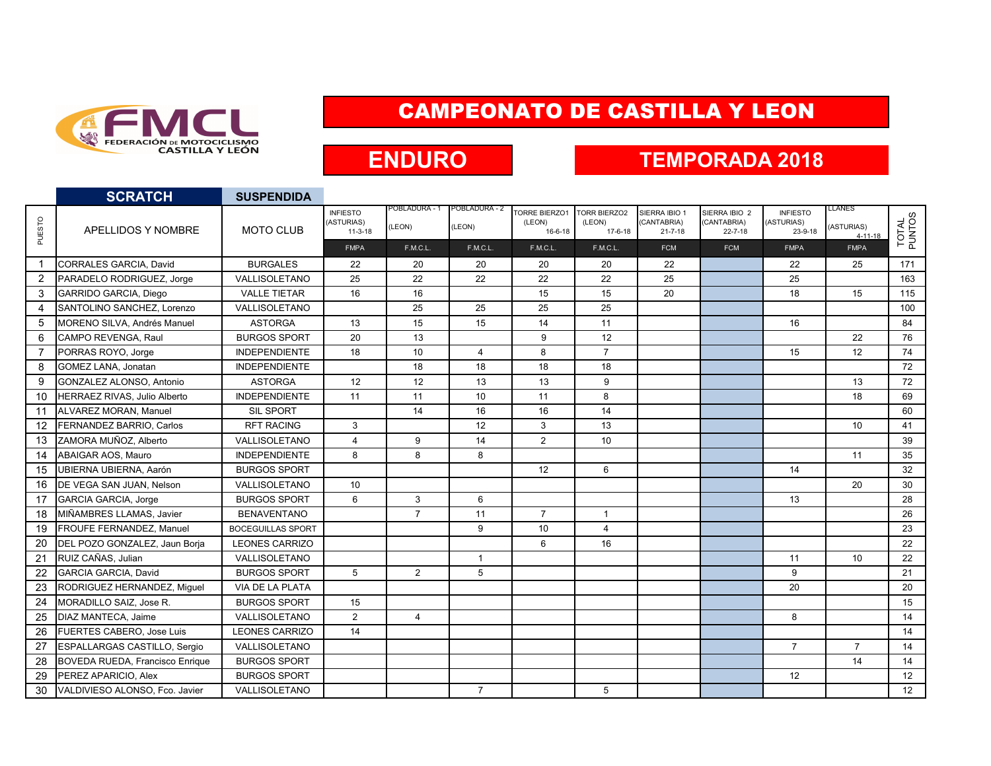

### CAMPEONATO DE CASTILLA Y LEON

## **ENDURO**

#### **TEMPORADA 2018**

|                   | <b>SCRATCH</b>                         | <b>SUSPENDIDA</b>        |                                            |                         |                        |                                                 |                                                |                                               |                                               |                                          |                                       |                 |
|-------------------|----------------------------------------|--------------------------|--------------------------------------------|-------------------------|------------------------|-------------------------------------------------|------------------------------------------------|-----------------------------------------------|-----------------------------------------------|------------------------------------------|---------------------------------------|-----------------|
| <b>PUESTO</b>     | APELLIDOS Y NOMBRE                     | <b>MOTO CLUB</b>         | <b>INFIESTO</b><br>(ASTURIAS)<br>$11-3-18$ | POBLADURA - 1<br>(LEON) | POBLADURA - 2<br>LEON) | <b>TORRE BIERZO1</b><br>(LEON)<br>$16 - 6 - 18$ | <b>TORR BIERZO2</b><br>(LEON)<br>$17 - 6 - 18$ | SIERRA IBIO 1<br>(CANTABRIA)<br>$21 - 7 - 18$ | SIERRA IBIO 2<br>(CANTABRIA)<br>$22 - 7 - 18$ | <b>INFIESTO</b><br>(ASTURIAS)<br>23-9-18 | LLANES<br>(ASTURIAS)<br>$4 - 11 - 18$ | TOTAL<br>PUNTOS |
|                   |                                        |                          | <b>FMPA</b>                                | F.M.C.L.                | F.M.C.L.               | F.M.C.L.                                        | F.M.C.L.                                       | <b>FCM</b>                                    | <b>FCM</b>                                    | <b>FMPA</b>                              | <b>FMPA</b>                           |                 |
| $\mathbf 1$       | CORRALES GARCIA, David                 | <b>BURGALES</b>          | 22                                         | 20                      | 20                     | 20                                              | 20                                             | 22                                            |                                               | 22                                       | 25                                    | 171             |
| $\overline{2}$    | PARADELO RODRIGUEZ, Jorge              | VALLISOLETANO            | 25                                         | 22                      | 22                     | 22                                              | 22                                             | 25                                            |                                               | 25                                       |                                       | 163             |
| 3                 | GARRIDO GARCIA, Diego                  | <b>VALLE TIETAR</b>      | 16                                         | 16                      |                        | 15                                              | 15                                             | 20                                            |                                               | 18                                       | 15                                    | 115             |
| 4                 | SANTOLINO SANCHEZ, Lorenzo             | VALLISOLETANO            |                                            | 25                      | 25                     | 25                                              | 25                                             |                                               |                                               |                                          |                                       | 100             |
| 5                 | MORENO SILVA, Andrés Manuel            | <b>ASTORGA</b>           | 13                                         | 15                      | 15                     | 14                                              | 11                                             |                                               |                                               | 16                                       |                                       | 84              |
| 6                 | CAMPO REVENGA, Raul                    | <b>BURGOS SPORT</b>      | 20                                         | 13                      |                        | 9                                               | 12                                             |                                               |                                               |                                          | 22                                    | 76              |
| $\overline{7}$    | PORRAS ROYO, Jorge                     | <b>INDEPENDIENTE</b>     | 18                                         | 10                      | $\overline{4}$         | 8                                               | $\overline{7}$                                 |                                               |                                               | 15                                       | 12                                    | 74              |
| 8                 | <b>GOMEZ LANA, Jonatan</b>             | <b>INDEPENDIENTE</b>     |                                            | 18                      | 18                     | 18                                              | 18                                             |                                               |                                               |                                          |                                       | 72              |
| 9                 | GONZALEZ ALONSO, Antonio               | <b>ASTORGA</b>           | 12                                         | 12                      | 13                     | 13                                              | 9                                              |                                               |                                               |                                          | 13                                    | 72              |
| 10                | HERRAEZ RIVAS, Julio Alberto           | <b>INDEPENDIENTE</b>     | 11                                         | 11                      | 10                     | 11                                              | 8                                              |                                               |                                               |                                          | 18                                    | 69              |
| 11                | <b>ALVAREZ MORAN, Manuel</b>           | <b>SIL SPORT</b>         |                                            | 14                      | 16                     | 16                                              | 14                                             |                                               |                                               |                                          |                                       | 60              |
| $12 \overline{ }$ | FERNANDEZ BARRIO, Carlos               | <b>RFT RACING</b>        | 3                                          |                         | 12                     | 3                                               | 13                                             |                                               |                                               |                                          | 10                                    | 41              |
| 13                | ZAMORA MUÑOZ. Alberto                  | VALLISOLETANO            | $\overline{4}$                             | 9                       | 14                     | $\overline{2}$                                  | 10                                             |                                               |                                               |                                          |                                       | 39              |
| 14                | ABAIGAR AOS, Mauro                     | <b>INDEPENDIENTE</b>     | 8                                          | 8                       | 8                      |                                                 |                                                |                                               |                                               |                                          | 11                                    | 35              |
| 15                | UBIERNA UBIERNA, Aarón                 | <b>BURGOS SPORT</b>      |                                            |                         |                        | 12                                              | 6                                              |                                               |                                               | 14                                       |                                       | 32              |
| 16                | DE VEGA SAN JUAN, Nelson               | VALLISOLETANO            | 10                                         |                         |                        |                                                 |                                                |                                               |                                               |                                          | 20                                    | 30              |
| 17                | <b>GARCIA GARCIA, Jorge</b>            | <b>BURGOS SPORT</b>      | 6                                          | 3                       | 6                      |                                                 |                                                |                                               |                                               | 13                                       |                                       | 28              |
| 18                | MIÑAMBRES LLAMAS, Javier               | <b>BENAVENTANO</b>       |                                            | $\overline{7}$          | 11                     | $\overline{7}$                                  | $\overline{1}$                                 |                                               |                                               |                                          |                                       | 26              |
| 19                | <b>FROUFE FERNANDEZ. Manuel</b>        | <b>BOCEGUILLAS SPORT</b> |                                            |                         | 9                      | 10                                              | $\overline{4}$                                 |                                               |                                               |                                          |                                       | 23              |
| 20                | DEL POZO GONZALEZ, Jaun Borja          | <b>LEONES CARRIZO</b>    |                                            |                         |                        | 6                                               | 16                                             |                                               |                                               |                                          |                                       | 22              |
| 21                | RUIZ CAÑAS, Julian                     | VALLISOLETANO            |                                            |                         | $\overline{1}$         |                                                 |                                                |                                               |                                               | 11                                       | 10                                    | 22              |
| 22                | <b>GARCIA GARCIA, David</b>            | <b>BURGOS SPORT</b>      | 5                                          | $\overline{2}$          | 5                      |                                                 |                                                |                                               |                                               | 9                                        |                                       | 21              |
| 23                | RODRIGUEZ HERNANDEZ, Miquel            | VIA DE LA PLATA          |                                            |                         |                        |                                                 |                                                |                                               |                                               | 20                                       |                                       | 20              |
| 24                | MORADILLO SAIZ, Jose R.                | <b>BURGOS SPORT</b>      | 15                                         |                         |                        |                                                 |                                                |                                               |                                               |                                          |                                       | 15              |
| 25                | DIAZ MANTECA, Jaime                    | VALLISOLETANO            | 2                                          | 4                       |                        |                                                 |                                                |                                               |                                               | 8                                        |                                       | 14              |
| 26                | FUERTES CABERO, Jose Luis              | <b>LEONES CARRIZO</b>    | 14                                         |                         |                        |                                                 |                                                |                                               |                                               |                                          |                                       | 14              |
| 27                | <b>ESPALLARGAS CASTILLO, Sergio</b>    | VALLISOLETANO            |                                            |                         |                        |                                                 |                                                |                                               |                                               | $\overline{7}$                           | $\overline{7}$                        | 14              |
| 28                | <b>BOVEDA RUEDA, Francisco Enrique</b> | <b>BURGOS SPORT</b>      |                                            |                         |                        |                                                 |                                                |                                               |                                               |                                          | 14                                    | 14              |
| 29                | PEREZ APARICIO, Alex                   | <b>BURGOS SPORT</b>      |                                            |                         |                        |                                                 |                                                |                                               |                                               | 12                                       |                                       | 12              |
| 30                | VALDIVIESO ALONSO, Fco. Javier         | VALLISOLETANO            |                                            |                         | $\overline{7}$         |                                                 | 5                                              |                                               |                                               |                                          |                                       | 12              |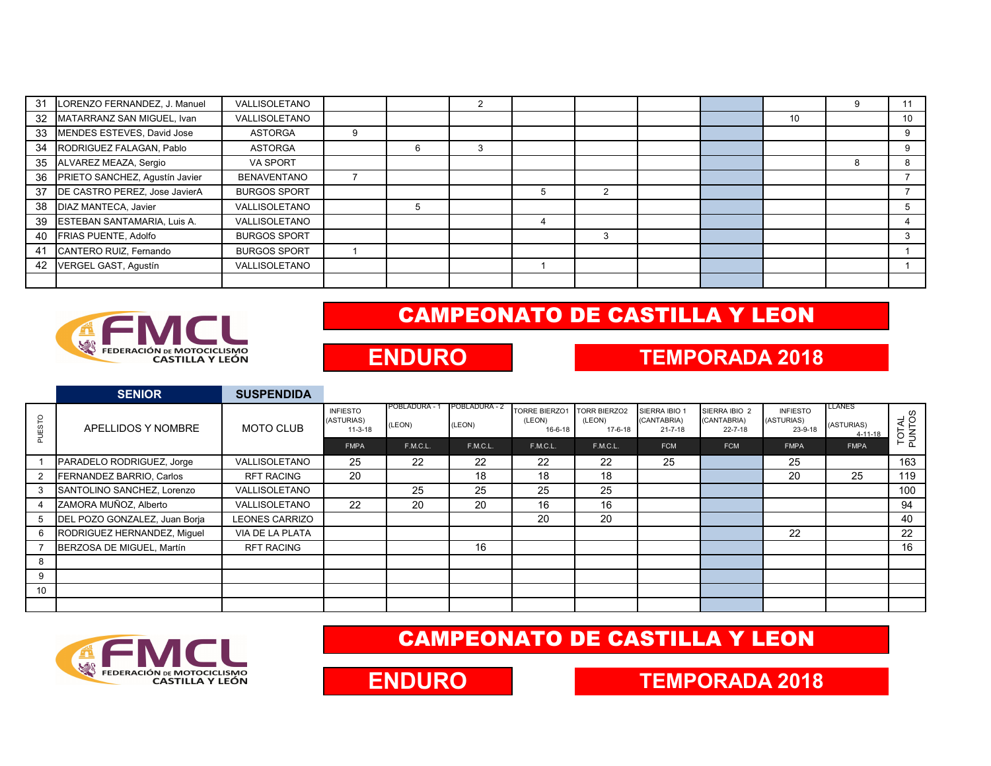| 31 | LORENZO FERNANDEZ, J. Manuel   | VALLISOLETANO        |   | $\overline{2}$ |   |   |  |    |    |
|----|--------------------------------|----------------------|---|----------------|---|---|--|----|----|
| 32 | MATARRANZ SAN MIGUEL, Ivan     | <b>VALLISOLETANO</b> |   |                |   |   |  | 10 | 10 |
| 33 | MENDES ESTEVES, David Jose     | <b>ASTORGA</b>       |   |                |   |   |  |    |    |
| 34 | RODRIGUEZ FALAGAN, Pablo       | <b>ASTORGA</b>       | 6 | 3              |   |   |  |    |    |
| 35 | ALVAREZ MEAZA, Sergio          | <b>VA SPORT</b>      |   |                |   |   |  |    |    |
| 36 | PRIETO SANCHEZ, Agustín Javier | <b>BENAVENTANO</b>   |   |                |   |   |  |    |    |
| 37 | DE CASTRO PEREZ, Jose JavierA  | <b>BURGOS SPORT</b>  |   |                | Ð | 2 |  |    |    |
| 38 | DIAZ MANTECA, Javier           | VALLISOLETANO        | 5 |                |   |   |  |    |    |
| 39 | ESTEBAN SANTAMARIA, Luis A.    | VALLISOLETANO        |   |                |   |   |  |    |    |
| 40 | FRIAS PUENTE, Adolfo           | <b>BURGOS SPORT</b>  |   |                |   | 3 |  |    |    |
| 41 | CANTERO RUIZ, Fernando         | <b>BURGOS SPORT</b>  |   |                |   |   |  |    |    |
| 42 | VERGEL GAST, Agustín           | VALLISOLETANO        |   |                |   |   |  |    |    |
|    |                                |                      |   |                |   |   |  |    |    |



## CAMPEONATO DE CASTILLA Y LEON

## **ENDURO**

#### **TEMPORADA 2018**

|                 | <b>SENIOR</b>                 | <b>SUSPENDIDA</b>     |                                            |                         |                                |                                                 |                                          |                                               |                                               |                                          |                                        |                 |
|-----------------|-------------------------------|-----------------------|--------------------------------------------|-------------------------|--------------------------------|-------------------------------------------------|------------------------------------------|-----------------------------------------------|-----------------------------------------------|------------------------------------------|----------------------------------------|-----------------|
| P<br><b>UES</b> | APELLIDOS Y NOMBRE            | <b>MOTO CLUB</b>      | <b>INFIESTO</b><br>(ASTURIAS)<br>$11-3-18$ | POBLADURA - 1<br>(LEON) | <b>POBLADURA - 2</b><br>(LEON) | <b>TORRE BIERZO1</b><br>(LEON)<br>$16 - 6 - 18$ | <b>TORR BIERZO2</b><br>(LEON)<br>17-6-18 | SIERRA IBIO 1<br>(CANTABRIA)<br>$21 - 7 - 18$ | SIERRA IBIO 2<br>(CANTABRIA)<br>$22 - 7 - 18$ | <b>INFIESTO</b><br>(ASTURIAS)<br>23-9-18 | <b>LLANES</b><br>(ASTURIAS)<br>4-11-18 | TOTAL<br>PUNTOS |
|                 |                               |                       | <b>FMPA</b>                                | F.M.C.L.                | F.M.C.L.                       | F.M.C.L.                                        | F.M.C.L.                                 | <b>FCM</b>                                    | <b>FCM</b>                                    | <b>FMPA</b>                              | <b>FMPA</b>                            |                 |
|                 | PARADELO RODRIGUEZ, Jorge     | VALLISOLETANO         | 25                                         | 22                      | 22                             | 22                                              | 22                                       | 25                                            |                                               | 25                                       |                                        | 163             |
|                 | FERNANDEZ BARRIO, Carlos      | <b>RFT RACING</b>     | 20                                         |                         | 18                             | 18                                              | 18                                       |                                               |                                               | 20                                       | 25                                     | 119             |
| 3               | SANTOLINO SANCHEZ, Lorenzo    | VALLISOLETANO         |                                            | 25                      | 25                             | 25                                              | 25                                       |                                               |                                               |                                          |                                        | 100             |
| 4               | ZAMORA MUÑOZ, Alberto         | VALLISOLETANO         | 22                                         | 20                      | 20                             | 16                                              | 16                                       |                                               |                                               |                                          |                                        | 94              |
|                 | DEL POZO GONZALEZ, Juan Borja | <b>LEONES CARRIZO</b> |                                            |                         |                                | 20                                              | 20                                       |                                               |                                               |                                          |                                        | 40              |
| 6               | RODRIGUEZ HERNANDEZ, Miquel   | VIA DE LA PLATA       |                                            |                         |                                |                                                 |                                          |                                               |                                               | 22                                       |                                        | 22              |
|                 | BERZOSA DE MIGUEL, Martín     | <b>RFT RACING</b>     |                                            |                         | 16                             |                                                 |                                          |                                               |                                               |                                          |                                        | 16              |
| 8               |                               |                       |                                            |                         |                                |                                                 |                                          |                                               |                                               |                                          |                                        |                 |
| 9               |                               |                       |                                            |                         |                                |                                                 |                                          |                                               |                                               |                                          |                                        |                 |
| 10              |                               |                       |                                            |                         |                                |                                                 |                                          |                                               |                                               |                                          |                                        |                 |
|                 |                               |                       |                                            |                         |                                |                                                 |                                          |                                               |                                               |                                          |                                        |                 |



## CAMPEONATO DE CASTILLA Y LEON



#### **TEMPORADA 2018**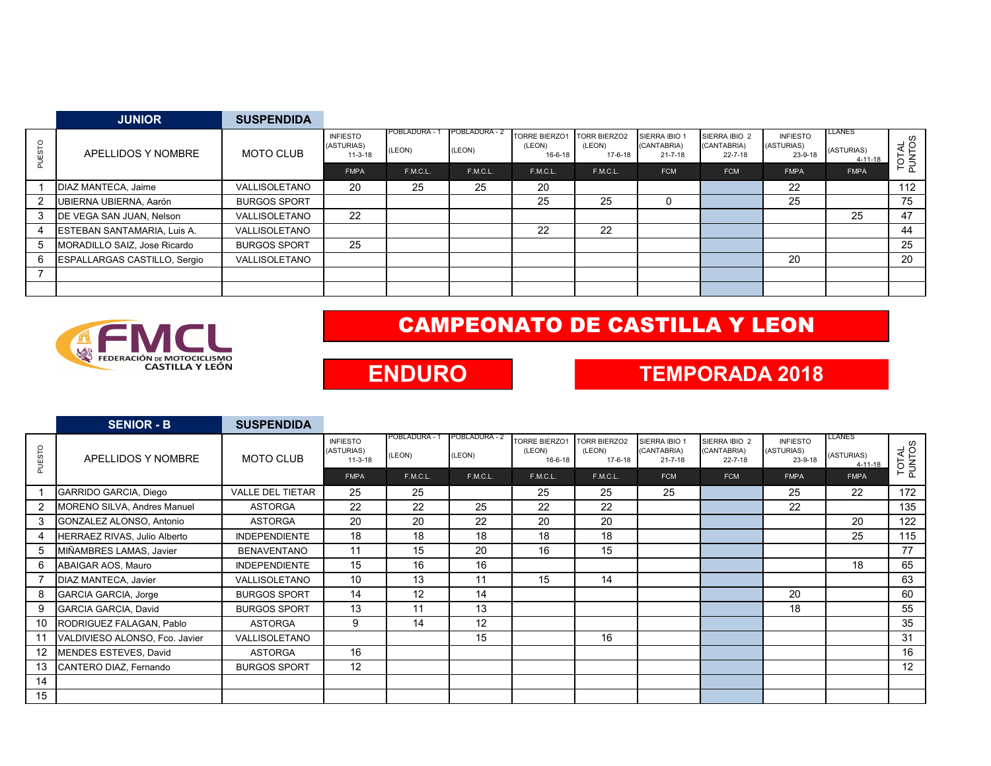|   | <b>JUNIOR</b>                       | <b>SUSPENDIDA</b>   |                                            |                         |                         |                                           |                                          |                                               |                                               |                                          |                                        |                   |
|---|-------------------------------------|---------------------|--------------------------------------------|-------------------------|-------------------------|-------------------------------------------|------------------------------------------|-----------------------------------------------|-----------------------------------------------|------------------------------------------|----------------------------------------|-------------------|
| O | APELLIDOS Y NOMBRE                  | <b>MOTO CLUB</b>    | <b>INFIESTO</b><br>(ASTURIAS)<br>$11-3-18$ | POBLADURA - 1<br>(LEON) | POBLADURA - 2<br>(LEON) | <b>TORRE BIERZO1</b><br>(LEON)<br>16-6-18 | <b>TORR BIERZO2</b><br>(LEON)<br>17-6-18 | SIERRA IBIO 1<br>(CANTABRIA)<br>$21 - 7 - 18$ | SIERRA IBIO 2<br>(CANTABRIA)<br>$22 - 7 - 18$ | <b>INFIESTO</b><br>(ASTURIAS)<br>23-9-18 | <b>LLANES</b><br>(ASTURIAS)<br>4-11-18 | $rac{8}{5}$<br>ξă |
|   |                                     |                     | <b>FMPA</b>                                | F.M.C.L.                | F.M.C.L.                | F.M.C.L.                                  | F.M.C.L.                                 | <b>FCM</b>                                    | <b>FCM</b>                                    | <b>FMPA</b>                              | <b>FMPA</b>                            | ⊢<br>$\Omega$     |
|   | DIAZ MANTECA, Jaime                 | VALLISOLETANO       | 20                                         | 25                      | 25                      | 20                                        |                                          |                                               |                                               | 22                                       |                                        | 112               |
|   | UBIERNA UBIERNA, Aarón              | <b>BURGOS SPORT</b> |                                            |                         |                         | 25                                        | 25                                       | 0                                             |                                               | 25                                       |                                        | 75                |
|   | DE VEGA SAN JUAN, Nelson            | VALLISOLETANO       | 22                                         |                         |                         |                                           |                                          |                                               |                                               |                                          | 25                                     | 47                |
| 4 | ESTEBAN SANTAMARIA, Luis A.         | VALLISOLETANO       |                                            |                         |                         | 22                                        | 22                                       |                                               |                                               |                                          |                                        | 44                |
| 5 | MORADILLO SAIZ, Jose Ricardo        | <b>BURGOS SPORT</b> | 25                                         |                         |                         |                                           |                                          |                                               |                                               |                                          |                                        | 25                |
| 6 | <b>ESPALLARGAS CASTILLO, Sergio</b> | VALLISOLETANO       |                                            |                         |                         |                                           |                                          |                                               |                                               | 20                                       |                                        | 20                |
|   |                                     |                     |                                            |                         |                         |                                           |                                          |                                               |                                               |                                          |                                        |                   |
|   |                                     |                     |                                            |                         |                         |                                           |                                          |                                               |                                               |                                          |                                        |                   |



# CAMPEONATO DE CASTILLA Y LEON

## **ENDURO**

### **TEMPORADA 2018**

|                   | <b>SENIOR - B</b>              | <b>SUSPENDIDA</b>       |                                            |                         |                         |                                           |                                          |                                               |                                               |                                          |                                       |                 |
|-------------------|--------------------------------|-------------------------|--------------------------------------------|-------------------------|-------------------------|-------------------------------------------|------------------------------------------|-----------------------------------------------|-----------------------------------------------|------------------------------------------|---------------------------------------|-----------------|
| STO<br>₩          | APELLIDOS Y NOMBRE             | <b>MOTO CLUB</b>        | <b>INFIESTO</b><br>(ASTURIAS)<br>$11-3-18$ | POBLADURA - 1<br>(LEON) | POBLADURA - 2<br>(LEON) | <b>TORRE BIERZO1</b><br>(LEON)<br>16-6-18 | <b>TORR BIERZO2</b><br>(LEON)<br>17-6-18 | SIERRA IBIO 1<br>(CANTABRIA)<br>$21 - 7 - 18$ | SIERRA IBIO 2<br>(CANTABRIA)<br>$22 - 7 - 18$ | <b>INFIESTO</b><br>(ASTURIAS)<br>23-9-18 | LLANES<br>(ASTURIAS)<br>$4 - 11 - 18$ | TOTAL<br>PUNTOS |
|                   |                                |                         | <b>FMPA</b>                                | F.M.C.L.                | F.M.C.L.                | F.M.C.L.                                  | F.M.C.L.                                 | <b>FCM</b>                                    | <b>FCM</b>                                    | <b>FMPA</b>                              | <b>FMPA</b>                           |                 |
|                   | GARRIDO GARCIA, Diego          | <b>VALLE DEL TIETAR</b> | 25                                         | 25                      |                         | 25                                        | 25                                       | 25                                            |                                               | 25                                       | 22                                    | 172             |
|                   | MORENO SILVA, Andres Manuel    | <b>ASTORGA</b>          | 22                                         | 22                      | 25                      | 22                                        | 22                                       |                                               |                                               | 22                                       |                                       | 135             |
| 3                 | GONZALEZ ALONSO, Antonio       | <b>ASTORGA</b>          | 20                                         | 20                      | 22                      | 20                                        | 20                                       |                                               |                                               |                                          | 20                                    | 122             |
|                   | HERRAEZ RIVAS, Julio Alberto   | <b>INDEPENDIENTE</b>    | 18                                         | 18                      | 18                      | 18                                        | 18                                       |                                               |                                               |                                          | 25                                    | 115             |
| 5                 | MIÑAMBRES LAMAS, Javier        | <b>BENAVENTANO</b>      | 11                                         | 15                      | 20                      | 16                                        | 15                                       |                                               |                                               |                                          |                                       | 77              |
| 6                 | ABAIGAR AOS, Mauro             | <b>INDEPENDIENTE</b>    | 15                                         | 16                      | 16                      |                                           |                                          |                                               |                                               |                                          | 18                                    | 65              |
|                   | DIAZ MANTECA, Javier           | VALLISOLETANO           | 10                                         | 13                      | 11                      | 15                                        | 14                                       |                                               |                                               |                                          |                                       | 63              |
| 8                 | <b>GARCIA GARCIA, Jorge</b>    | <b>BURGOS SPORT</b>     | 14                                         | 12                      | 14                      |                                           |                                          |                                               |                                               | 20                                       |                                       | 60              |
| 9                 | <b>GARCIA GARCIA, David</b>    | <b>BURGOS SPORT</b>     | 13                                         | 11                      | 13                      |                                           |                                          |                                               |                                               | 18                                       |                                       | 55              |
| 10                | RODRIGUEZ FALAGAN, Pablo       | <b>ASTORGA</b>          | 9                                          | 14                      | 12                      |                                           |                                          |                                               |                                               |                                          |                                       | 35              |
| 11                | VALDIVIESO ALONSO, Fco. Javier | VALLISOLETANO           |                                            |                         | 15                      |                                           | 16                                       |                                               |                                               |                                          |                                       | 31              |
| $12 \overline{ }$ | MENDES ESTEVES, David          | <b>ASTORGA</b>          | 16                                         |                         |                         |                                           |                                          |                                               |                                               |                                          |                                       | 16              |
| 13                | CANTERO DIAZ, Fernando         | <b>BURGOS SPORT</b>     | 12                                         |                         |                         |                                           |                                          |                                               |                                               |                                          |                                       | 12              |
| 14                |                                |                         |                                            |                         |                         |                                           |                                          |                                               |                                               |                                          |                                       |                 |
| 15                |                                |                         |                                            |                         |                         |                                           |                                          |                                               |                                               |                                          |                                       |                 |